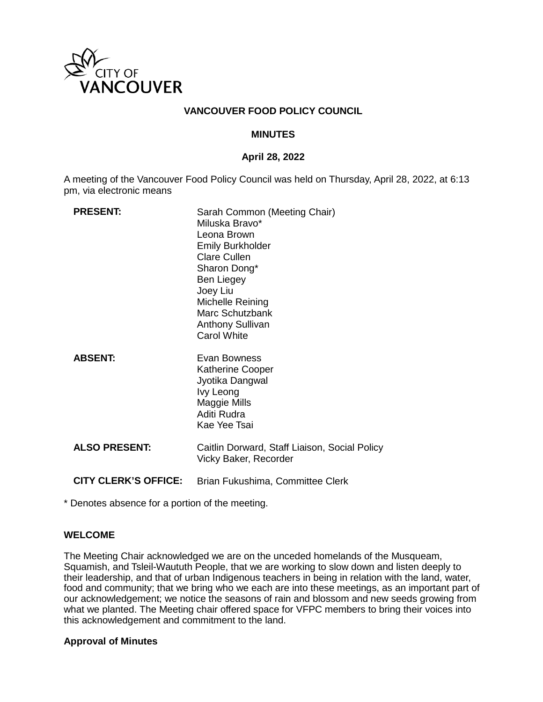

### **VANCOUVER FOOD POLICY COUNCIL**

#### **MINUTES**

#### **April 28, 2022**

A meeting of the Vancouver Food Policy Council was held on Thursday, April 28, 2022, at 6:13 pm, via electronic means

| <b>PRESENT:</b>             | Sarah Common (Meeting Chair)<br>Miluska Bravo*<br>Leona Brown<br><b>Emily Burkholder</b><br><b>Clare Cullen</b><br>Sharon Dong*<br><b>Ben Liegey</b><br>Joey Liu<br>Michelle Reining<br>Marc Schutzbank<br><b>Anthony Sullivan</b><br><b>Carol White</b> |
|-----------------------------|----------------------------------------------------------------------------------------------------------------------------------------------------------------------------------------------------------------------------------------------------------|
| <b>ABSENT:</b>              | Evan Bowness<br><b>Katherine Cooper</b><br>Jyotika Dangwal<br>Ivy Leong<br>Maggie Mills<br>Aditi Rudra<br>Kae Yee Tsai                                                                                                                                   |
| <b>ALSO PRESENT:</b>        | Caitlin Dorward, Staff Liaison, Social Policy<br>Vicky Baker, Recorder                                                                                                                                                                                   |
| <b>CITY CLERK'S OFFICE:</b> | Brian Fukushima, Committee Clerk                                                                                                                                                                                                                         |

\* Denotes absence for a portion of the meeting.

#### **WELCOME**

The Meeting Chair acknowledged we are on the unceded homelands of the Musqueam, Squamish, and Tsleil-Waututh People, that we are working to slow down and listen deeply to their leadership, and that of urban Indigenous teachers in being in relation with the land, water, food and community; that we bring who we each are into these meetings, as an important part of our acknowledgement; we notice the seasons of rain and blossom and new seeds growing from what we planted. The Meeting chair offered space for VFPC members to bring their voices into this acknowledgement and commitment to the land.

#### **Approval of Minutes**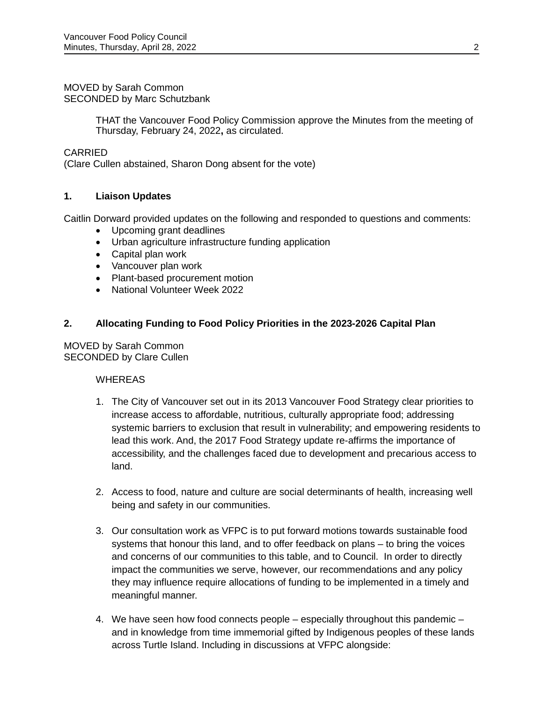#### MOVED by Sarah Common SECONDED by Marc Schutzbank

THAT the Vancouver Food Policy Commission approve the Minutes from the meeting of Thursday, February 24, 2022**,** as circulated.

# CARRIED

(Clare Cullen abstained, Sharon Dong absent for the vote)

# **1. Liaison Updates**

Caitlin Dorward provided updates on the following and responded to questions and comments:

- Upcoming grant deadlines
- Urban agriculture infrastructure funding application
- Capital plan work
- Vancouver plan work
- Plant-based procurement motion
- National Volunteer Week 2022

### **2. Allocating Funding to Food Policy Priorities in the 2023-2026 Capital Plan**

MOVED by Sarah Common SECONDED by Clare Cullen

### **WHEREAS**

- 1. The City of Vancouver set out in its 2013 Vancouver Food Strategy clear priorities to increase access to affordable, nutritious, culturally appropriate food; addressing systemic barriers to exclusion that result in vulnerability; and empowering residents to lead this work. And, the 2017 Food Strategy update re-affirms the importance of accessibility, and the challenges faced due to development and precarious access to land.
- 2. Access to food, nature and culture are social determinants of health, increasing well being and safety in our communities.
- 3. Our consultation work as VFPC is to put forward motions towards sustainable food systems that honour this land, and to offer feedback on plans – to bring the voices and concerns of our communities to this table, and to Council. In order to directly impact the communities we serve, however, our recommendations and any policy they may influence require allocations of funding to be implemented in a timely and meaningful manner.
- 4. We have seen how food connects people especially throughout this pandemic and in knowledge from time immemorial gifted by Indigenous peoples of these lands across Turtle Island. Including in discussions at VFPC alongside: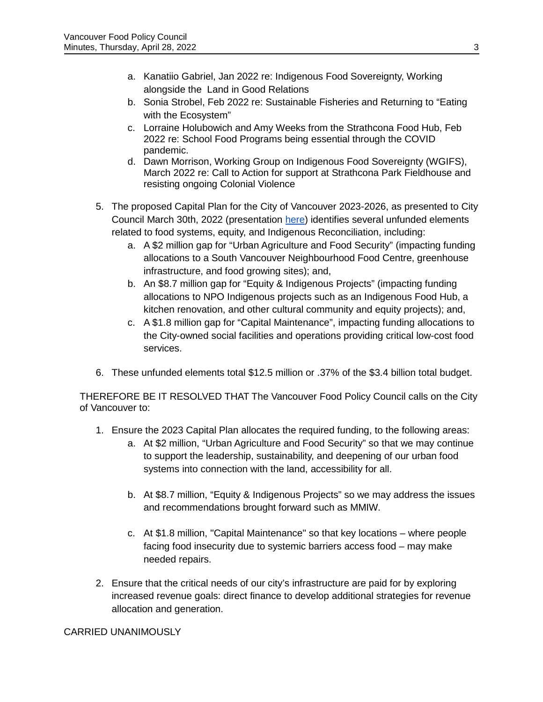- a. Kanatiio Gabriel, Jan 2022 re: Indigenous Food Sovereignty, Working alongside the Land in Good Relations
- b. Sonia Strobel, Feb 2022 re: Sustainable Fisheries and Returning to "Eating with the Ecosystem"
- c. Lorraine Holubowich and Amy Weeks from the Strathcona Food Hub, Feb 2022 re: School Food Programs being essential through the COVID pandemic.
- d. Dawn Morrison, Working Group on Indigenous Food Sovereignty (WGIFS), March 2022 re: Call to Action for support at Strathcona Park Fieldhouse and resisting ongoing Colonial Violence
- 5. The proposed Capital Plan for the City of Vancouver 2023-2026, as presented to City Council March 30th, 2022 (presentation [here\)](https://council.vancouver.ca/20220331/spec20220331ag.htm) identifies several unfunded elements related to food systems, equity, and Indigenous Reconciliation, including:
	- a. A \$2 million gap for "Urban Agriculture and Food Security" (impacting funding allocations to a South Vancouver Neighbourhood Food Centre, greenhouse infrastructure, and food growing sites); and,
	- b. An \$8.7 million gap for "Equity & Indigenous Projects" (impacting funding allocations to NPO Indigenous projects such as an Indigenous Food Hub, a kitchen renovation, and other cultural community and equity projects); and,
	- c. A \$1.8 million gap for "Capital Maintenance", impacting funding allocations to the City-owned social facilities and operations providing critical low-cost food services.
- 6. These unfunded elements total \$12.5 million or .37% of the \$3.4 billion total budget.

THEREFORE BE IT RESOLVED THAT The Vancouver Food Policy Council calls on the City of Vancouver to:

- 1. Ensure the 2023 Capital Plan allocates the required funding, to the following areas:
	- a. At \$2 million, "Urban Agriculture and Food Security" so that we may continue to support the leadership, sustainability, and deepening of our urban food systems into connection with the land, accessibility for all.
	- b. At \$8.7 million, "Equity & Indigenous Projects" so we may address the issues and recommendations brought forward such as MMIW.
	- c. At \$1.8 million, "Capital Maintenance" so that key locations where people facing food insecurity due to systemic barriers access food – may make needed repairs.
- 2. Ensure that the critical needs of our city's infrastructure are paid for by exploring increased revenue goals: direct finance to develop additional strategies for revenue allocation and generation.

CARRIED UNANIMOUSLY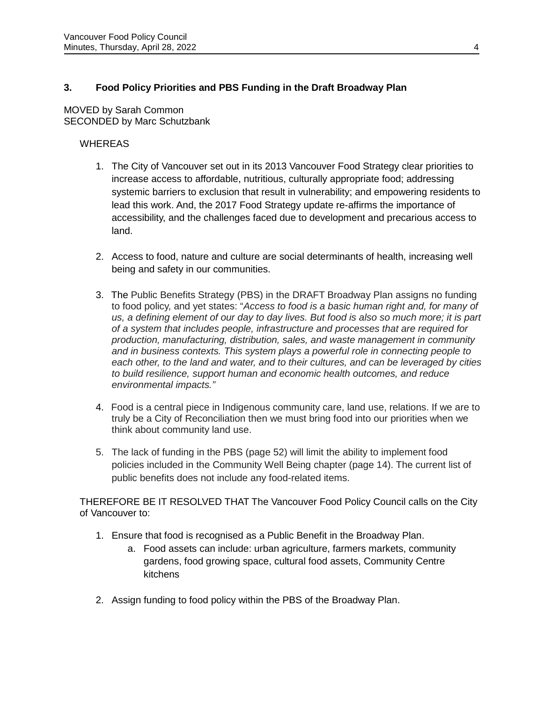# **3. Food Policy Priorities and PBS Funding in the Draft Broadway Plan**

### MOVED by Sarah Common SECONDED by Marc Schutzbank

# **WHEREAS**

- 1. The City of Vancouver set out in its 2013 Vancouver Food Strategy clear priorities to increase access to affordable, nutritious, culturally appropriate food; addressing systemic barriers to exclusion that result in vulnerability; and empowering residents to lead this work. And, the 2017 Food Strategy update re-affirms the importance of accessibility, and the challenges faced due to development and precarious access to land.
- 2. Access to food, nature and culture are social determinants of health, increasing well being and safety in our communities.
- 3. The Public Benefits Strategy (PBS) in the DRAFT Broadway Plan assigns no funding to food policy, and yet states: "*Access to food is a basic human right and, for many of us, a defining element of our day to day lives. But food is also so much more; it is part of a system that includes people, infrastructure and processes that are required for production, manufacturing, distribution, sales, and waste management in community and in business contexts. This system plays a powerful role in connecting people to each other, to the land and water, and to their cultures, and can be leveraged by cities to build resilience, support human and economic health outcomes, and reduce environmental impacts."*
- 4. Food is a central piece in Indigenous community care, land use, relations. If we are to truly be a City of Reconciliation then we must bring food into our priorities when we think about community land use.
- 5. The lack of funding in the PBS (page 52) will limit the ability to implement food policies included in the Community Well Being chapter (page 14). The current list of public benefits does not include any food-related items.

THEREFORE BE IT RESOLVED THAT The Vancouver Food Policy Council calls on the City of Vancouver to:

- 1. Ensure that food is recognised as a Public Benefit in the Broadway Plan.
	- a. Food assets can include: urban agriculture, farmers markets, community gardens, food growing space, cultural food assets, Community Centre kitchens
- 2. Assign funding to food policy within the PBS of the Broadway Plan.